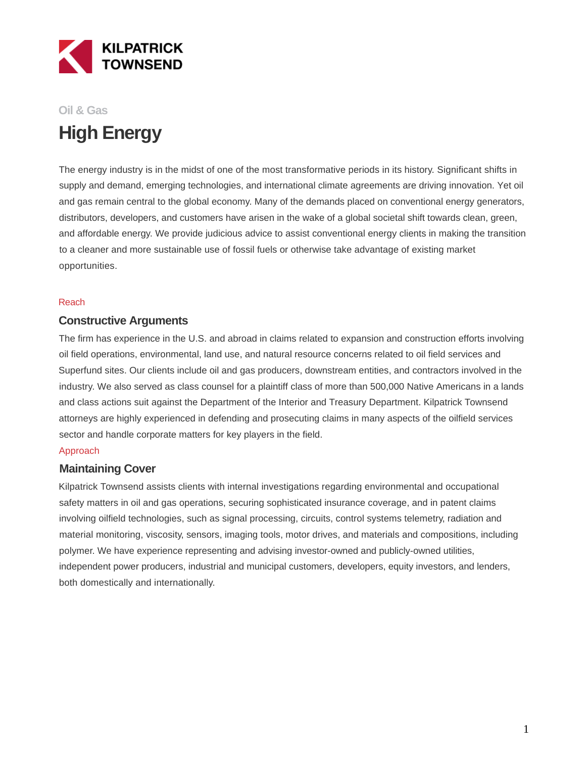

# **Oil & Gas High Energy**

The energy industry is in the midst of one of the most transformative periods in its history. Significant shifts in supply and demand, emerging technologies, and international climate agreements are driving innovation. Yet oil and gas remain central to the global economy. Many of the demands placed on conventional energy generators, distributors, developers, and customers have arisen in the wake of a global societal shift towards clean, green, and affordable energy. We provide judicious advice to assist conventional energy clients in making the transition to a cleaner and more sustainable use of fossil fuels or otherwise take advantage of existing market opportunities.

#### Reach

### **Constructive Arguments**

The firm has experience in the U.S. and abroad in claims related to expansion and construction efforts involving oil field operations, environmental, land use, and natural resource concerns related to oil field services and Superfund sites. Our clients include oil and gas producers, downstream entities, and contractors involved in the industry. We also served as class counsel for a plaintiff class of more than 500,000 Native Americans in a lands and class actions suit against the Department of the Interior and Treasury Department. Kilpatrick Townsend attorneys are highly experienced in defending and prosecuting claims in many aspects of the oilfield services sector and handle corporate matters for key players in the field.

#### Approach

#### **Maintaining Cover**

Kilpatrick Townsend assists clients with internal investigations regarding environmental and occupational safety matters in oil and gas operations, securing sophisticated insurance coverage, and in patent claims involving oilfield technologies, such as signal processing, circuits, control systems telemetry, radiation and material monitoring, viscosity, sensors, imaging tools, motor drives, and materials and compositions, including polymer. We have experience representing and advising investor-owned and publicly-owned utilities, independent power producers, industrial and municipal customers, developers, equity investors, and lenders, both domestically and internationally.